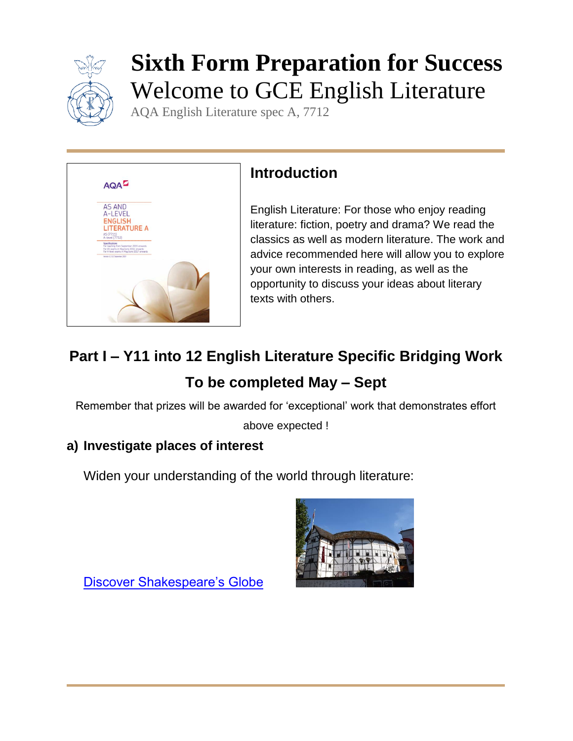

# **Sixth Form Preparation for Success** Welcome to GCE English Literature

AQA English Literature spec A, 7712



## **Introduction**

English Literature: For those who enjoy reading literature: fiction, poetry and drama? We read the classics as well as modern literature. The work and advice recommended here will allow you to explore your own interests in reading, as well as the opportunity to discuss your ideas about literary texts with others.

## **Part I – Y11 into 12 English Literature Specific Bridging Work To be completed May – Sept**

Remember that prizes will be awarded for 'exceptional' work that demonstrates effort

above expected !

#### **a) Investigate places of interest**

Widen your understanding of the world through literature:



[Discover Shakespeare's Globe](https://www.shakespearesglobe.com/)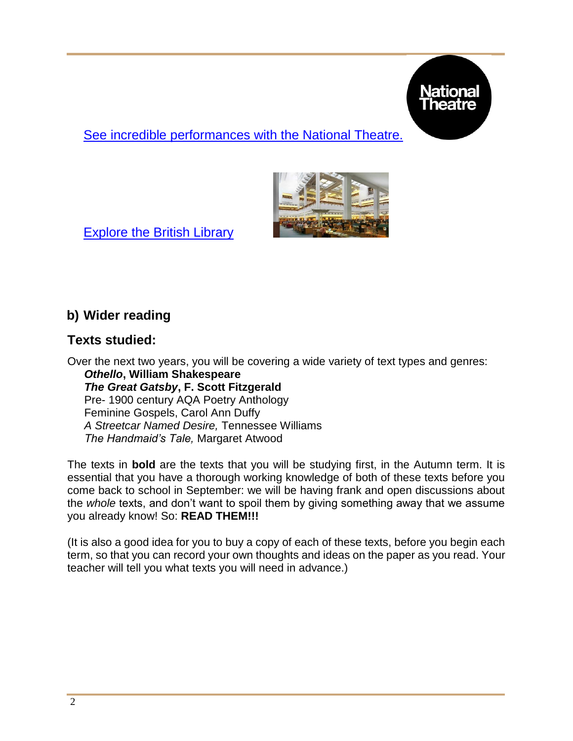

[See incredible performances with the National Theatre.](https://www.nationaltheatre.org.uk/)



[Explore the British Library](https://www.bl.uk/) 

#### **b) Wider reading**

#### **Texts studied:**

Over the next two years, you will be covering a wide variety of text types and genres: *Othello***, William Shakespeare**  *The Great Gatsby***, F. Scott Fitzgerald**  Pre- 1900 century AQA Poetry Anthology Feminine Gospels, Carol Ann Duffy *A Streetcar Named Desire,* Tennessee Williams *The Handmaid's Tale,* Margaret Atwood

The texts in **bold** are the texts that you will be studying first, in the Autumn term. It is essential that you have a thorough working knowledge of both of these texts before you come back to school in September: we will be having frank and open discussions about the *whole* texts, and don't want to spoil them by giving something away that we assume you already know! So: **READ THEM!!!** 

(It is also a good idea for you to buy a copy of each of these texts, before you begin each term, so that you can record your own thoughts and ideas on the paper as you read. Your teacher will tell you what texts you will need in advance.)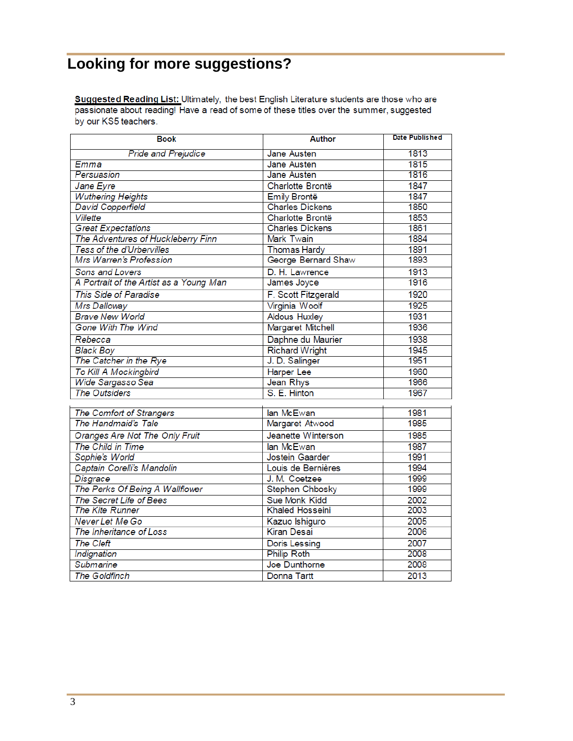## **Looking for more suggestions?**

Suggested Reading List: Ultimately, the best English Literature students are those who are passionate about reading! Have a read of some of these titles over the summer, suggested by our KS5 teachers.

| <b>Book</b>                             | <b>Author</b>            | <b>Date Published</b> |
|-----------------------------------------|--------------------------|-----------------------|
| <b>Pride and Prejudice</b>              | Jane Austen              | 1813                  |
| Emma                                    | Jane Austen              | 1815                  |
| Persuasion                              | Jane Austen              | 1816                  |
| Jane Eyre                               | Charlotte Brontë         | 1847                  |
| <b>Wuthering Heights</b>                | <b>Emily Brontë</b>      | 1847                  |
| <b>David Copperfield</b>                | <b>Charles Dickens</b>   | 1850                  |
| <b>Villette</b>                         | Charlotte Brontë         | 1853                  |
| <b>Great Expectations</b>               | <b>Charles Dickens</b>   | 1861                  |
| The Adventures of Huckleberry Finn      | Mark Twain               | 1884                  |
| Tess of the d'Urbervilles               | <b>Thomas Hardy</b>      | 1891                  |
| Mrs Warren's Profession                 | George Bernard Shaw      | 1893                  |
| Sons and Lovers                         | D. H. Lawrence           | 1913                  |
| A Portrait of the Artist as a Young Man | James Joyce              | 1916                  |
| This Side of Paradise                   | F. Scott Fitzgerald      | 1920                  |
| Mrs Dalloway                            | Virginia Woolf           | 1925                  |
| <b>Brave New World</b>                  | <b>Aldous Huxley</b>     | 1931                  |
| <b>Gone With The Wind</b>               | <b>Margaret Mitchell</b> | 1936                  |
| Rebecca                                 | Daphne du Maurier        | 1938                  |
| <b>Black Boy</b>                        | <b>Richard Wright</b>    | 1945                  |
| The Catcher in the Rye                  | J. D. Salinger           | 1951                  |
| <b>To Kill A Mockingbird</b>            | <b>Harper Lee</b>        | 1960                  |
| Wide Sargasso Sea                       | Jean Rhys                | 1966                  |
| <b>The Outsiders</b>                    | S. E. Hinton             | 1967                  |
|                                         |                          |                       |
| The Comfort of Strangers                | lan McEwan               | 1981                  |
| The Handmaid's Tale                     | Margaret Atwood          | 1985                  |
| Oranges Are Not The Only Fruit          | Jeanette Winterson       | 1985                  |
| The Child in Time                       | lan McEwan               | 1987                  |
| Sophie's World                          | Jostein Gaarder          | 1991                  |
| Captain Corelli's Mandolin              | Louis de Bernières       | 1994                  |
| Disgrace                                | J. M. Coetzee            | 1999                  |
| The Perks Of Being A Wallflower         | Stephen Chbosky          | 1999                  |
| The Secret Life of Bees                 | Sue Monk Kidd            | 2002                  |
| <b>The Kite Runner</b>                  | <b>Khaled Hosseini</b>   | 2003                  |
| Never Let Me Go                         | Kazuo Ishiguro           | 2005                  |
| The Inheritance of Loss                 | <b>Kiran Desai</b>       | 2006                  |
| <b>The Cleft</b>                        | <b>Doris Lessing</b>     | 2007                  |
| Indignation                             | <b>Philip Roth</b>       | 2008                  |
| <b>Submarine</b>                        | Joe Dunthorne            | 2008                  |
| <b>The Goldfinch</b>                    | Donna Tartt              | 2013                  |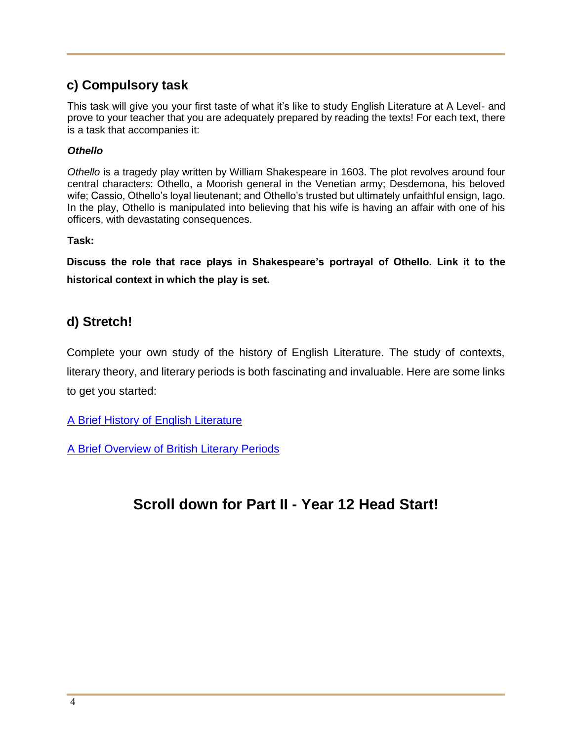#### **c) Compulsory task**

This task will give you your first taste of what it's like to study English Literature at A Level- and prove to your teacher that you are adequately prepared by reading the texts! For each text, there is a task that accompanies it:

#### *Othello*

*Othello* is a tragedy play written by William Shakespeare in 1603. The plot revolves around four central characters: Othello, a Moorish general in the Venetian army; Desdemona, his beloved wife; Cassio, Othello's loyal lieutenant; and Othello's trusted but ultimately unfaithful ensign, Iago. In the play, Othello is manipulated into believing that his wife is having an affair with one of his officers, with devastating consequences.

**Task:** 

**Discuss the role that race plays in Shakespeare's portrayal of Othello. Link it to the historical context in which the play is set.**

#### **d) Stretch!**

Complete your own study of the history of English Literature. The study of contexts, literary theory, and literary periods is both fascinating and invaluable. Here are some links to get you started:

[A Brief History of English Literature](https://literariness.org/2018/07/18/a-brief-history-of-english-literature/)

[A Brief Overview of British Literary Periods](https://www.thoughtco.com/british-literary-periods-739034)

### **Scroll down for Part II - Year 12 Head Start!**